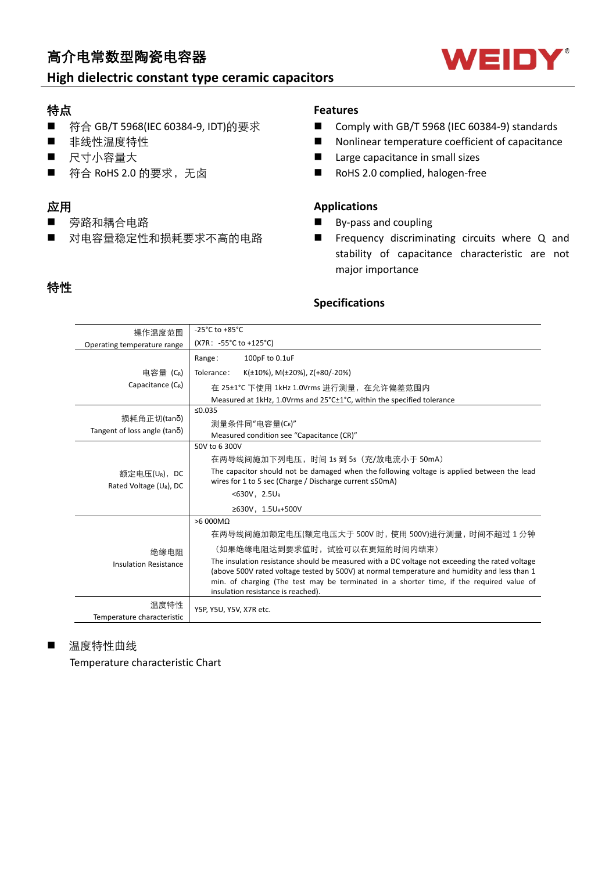# 高介电常数型陶瓷电容器

## **High dielectric constant type ceramic capacitors**

### 特点

- 符合 GB/T 5968(IEC 60384-9, IDT)的要求
- 非线性温度特性
- 尺寸小容量大
- 符合 RoHS 2.0 的要求, 无卤

## 应用

- 旁路和耦合电路
- 对电容量稳定性和损耗要求不高的电路

#### **Features**

- Comply with GB/T 5968 (IEC 60384-9) standards
- $\blacksquare$  Nonlinear temperature coefficient of capacitance
- Large capacitance in small sizes
- RoHS 2.0 complied, halogen-free

### **Applications**

- $\blacksquare$  By-pass and coupling
- **n** Frequency discriminating circuits where Q and stability of capacitance characteristic are not major importance

# 特性

### **Specifications**

| 操作温度范围                                 | -25 $^{\circ}$ C to +85 $^{\circ}$ C                                                                                                                                                                                                                                                                                             |  |  |  |  |  |  |  |  |  |  |
|----------------------------------------|----------------------------------------------------------------------------------------------------------------------------------------------------------------------------------------------------------------------------------------------------------------------------------------------------------------------------------|--|--|--|--|--|--|--|--|--|--|
| Operating temperature range            | (X7R: -55°C to +125°C)                                                                                                                                                                                                                                                                                                           |  |  |  |  |  |  |  |  |  |  |
|                                        | 100pF to 0.1uF<br>Range:                                                                                                                                                                                                                                                                                                         |  |  |  |  |  |  |  |  |  |  |
| 电容量 (C <sub>R</sub> )                  | K( $\pm$ 10%), M( $\pm$ 20%), Z(+80/-20%)<br>Tolerance:                                                                                                                                                                                                                                                                          |  |  |  |  |  |  |  |  |  |  |
| Capacitance (CR)                       | 在 25±1℃ 下使用 1kHz 1.0Vrms 进行测量, 在允许偏差范围内                                                                                                                                                                                                                                                                                          |  |  |  |  |  |  |  |  |  |  |
|                                        | Measured at 1kHz, 1.0Vrms and 25°C±1°C, within the specified tolerance                                                                                                                                                                                                                                                           |  |  |  |  |  |  |  |  |  |  |
|                                        | ≤0.035                                                                                                                                                                                                                                                                                                                           |  |  |  |  |  |  |  |  |  |  |
| 损耗角正切(tanδ)                            | 测量条件同"电容量(CR)"                                                                                                                                                                                                                                                                                                                   |  |  |  |  |  |  |  |  |  |  |
| Tangent of loss angle ( $tan\delta$ )  | Measured condition see "Capacitance (CR)"                                                                                                                                                                                                                                                                                        |  |  |  |  |  |  |  |  |  |  |
|                                        | 50V to 6 300V                                                                                                                                                                                                                                                                                                                    |  |  |  |  |  |  |  |  |  |  |
|                                        | 在两导线间施加下列电压,时间 1s 到 5s (充/放电流小于 50mA)                                                                                                                                                                                                                                                                                            |  |  |  |  |  |  |  |  |  |  |
| 额定电压(UR), DC<br>Rated Voltage (UR), DC | The capacitor should not be damaged when the following voltage is applied between the lead<br>wires for 1 to 5 sec (Charge / Discharge current ≤50mA)                                                                                                                                                                            |  |  |  |  |  |  |  |  |  |  |
|                                        | <630V, 2.5UR                                                                                                                                                                                                                                                                                                                     |  |  |  |  |  |  |  |  |  |  |
|                                        | ≥630V, 1.5U <sub>R</sub> +500V                                                                                                                                                                                                                                                                                                   |  |  |  |  |  |  |  |  |  |  |
|                                        | $>6000M\Omega$                                                                                                                                                                                                                                                                                                                   |  |  |  |  |  |  |  |  |  |  |
|                                        | 在两导线间施加额定电压(额定电压大于 500V 时,使用 500V)进行测量,时间不超过 1 分钟                                                                                                                                                                                                                                                                                |  |  |  |  |  |  |  |  |  |  |
| 绝缘电阻                                   | (如果绝缘电阻达到要求值时,试验可以在更短的时间内结束)                                                                                                                                                                                                                                                                                                     |  |  |  |  |  |  |  |  |  |  |
| <b>Insulation Resistance</b>           | The insulation resistance should be measured with a DC voltage not exceeding the rated voltage<br>(above 500V rated voltage tested by 500V) at normal temperature and humidity and less than 1<br>min. of charging (The test may be terminated in a shorter time, if the required value of<br>insulation resistance is reached). |  |  |  |  |  |  |  |  |  |  |
| 温度特性<br>Temperature characteristic     | Y5P, Y5U, Y5V, X7R etc.                                                                                                                                                                                                                                                                                                          |  |  |  |  |  |  |  |  |  |  |

### ■ 温度特性曲线

Temperature characteristic Chart

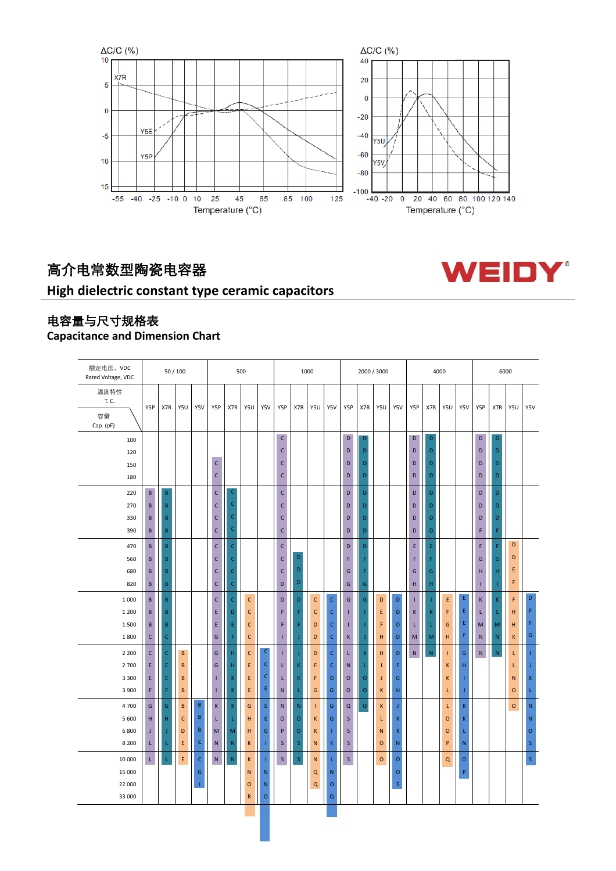

WEIDY®

# 高介电常数型陶瓷电容器

# **High dielectric constant type ceramic capacitors**



## **Capacitance and Dimension Chart**

| 额定电压, VDC<br>Rated Voltage, VDC  |        | 50/100                         |              |              |                              |                   | 500          |                            |                              |             |              | 1000               |                         |                    | 2000 / 3000      |             |           |               | 4000        |               |           |           | 6000         |                             |  |
|----------------------------------|--------|--------------------------------|--------------|--------------|------------------------------|-------------------|--------------|----------------------------|------------------------------|-------------|--------------|--------------------|-------------------------|--------------------|------------------|-------------|-----------|---------------|-------------|---------------|-----------|-----------|--------------|-----------------------------|--|
| 温度特性<br>T. C.<br>容量<br>Cap. (pF) | Y5P    | X7R                            | Y5U          | Y5V          | Y5P                          | X7R               | Y5U          | Y5V                        | Y5P                          | X7R         | Y5U          | Y5V                | Y5P                     | X7R                | Y5U              | Y5V         | Y5P       | X7R           | Y5U         | Y5V           | Y5P       | X7R       | Y5U          | Y5V                         |  |
| 100<br>120                       |        |                                |              |              |                              |                   |              |                            | $\mathsf{C}$<br>C            |             |              |                    | D<br>D                  | D<br>D             |                  |             | D<br>D    | D<br>D        |             |               | D<br>D    | D<br>D    |              |                             |  |
| 150                              |        |                                |              |              | $\mathsf{C}$<br>$\mathsf{C}$ |                   |              |                            | $\mathsf{C}$<br>$\mathsf{C}$ |             |              |                    | D                       | D                  |                  |             | D         | D<br>D        |             |               | D         | D         |              |                             |  |
| 180                              |        |                                |              |              |                              |                   |              |                            |                              |             |              |                    | D                       | D                  |                  |             | D         |               |             |               | D         | D         |              |                             |  |
| 220                              | B      | $\, {\bf B} \,$                |              |              | $\mathsf{C}$                 | C                 |              |                            | $\mathsf{C}$                 |             |              |                    | D                       | D                  |                  |             | D         | D             |             |               | D         | D         |              |                             |  |
| 270                              | B      | B                              |              |              | $\mathsf{C}$                 | $\mathsf{C}$<br>C |              |                            | $\mathsf{C}$                 |             |              |                    | D                       | D                  |                  |             | D         | D             |             |               | D         | D         |              |                             |  |
| 330<br>390                       | B<br>B | $\, {\bf B} \,$<br>$\mathsf B$ |              |              | $\mathsf{C}$<br>$\mathsf{C}$ | $\mathsf C$       |              |                            | C<br>$\mathsf{C}$            |             |              |                    | D<br>D                  | D<br>D             |                  |             | D<br>D    | D<br>D        |             |               | D<br>F    | D<br>F    |              |                             |  |
| 470                              | B      | B                              |              |              | $\mathsf{C}$                 | $\mathsf{C}$      |              |                            | $\mathsf{C}$                 |             |              |                    | D                       | D                  |                  |             | E         | E             |             |               | F         | F         | D            |                             |  |
| 560                              | B      | B                              |              |              | $\mathsf{C}$                 | $\mathsf C$       |              |                            | С                            | D           |              |                    | F                       | F                  |                  |             | F         | F             |             |               | G         | G         | D            |                             |  |
| 680                              | B      | $\mathsf B$                    |              |              | $\mathsf{C}$                 | $\mathsf C$       |              |                            | $\mathsf{C}$                 | D           |              |                    | G                       | F                  |                  |             | G         | ${\mathsf G}$ |             |               | H         | H         | Ε            |                             |  |
| 820                              | B      | $\sf{B}$                       |              |              | $\mathsf{C}$                 | $\mathsf C$       |              |                            | D                            | D           |              |                    | G                       | G                  |                  |             | H         | H             |             |               | ī         |           | F            |                             |  |
| 1 0 0 0                          | B      | $\sf{B}$                       |              |              | $\mathsf{C}$                 | $\mathsf{C}$      | $\mathsf{C}$ |                            | D                            | D           | $\mathsf{C}$ | $\mathsf C$        | G                       | G                  | D                | D           | т         | J.            | $\mathsf E$ | E             | K         | K.        | F            | D                           |  |
| 1 200                            | B      | B                              |              |              | E                            | D                 | $\mathsf{C}$ |                            | F                            | F           | $\mathsf{C}$ | $\mathsf{C}$       | т                       | ٠                  | Ε                | D           | К         | K             | F           | Ε             | L         |           | H            | F                           |  |
| 1500                             | B      | $\sf{B}$                       |              |              | E                            | Ε                 | $\mathsf{C}$ |                            | F                            | F           | D            | $\mathsf C$        | T                       |                    | F                | D           | L         | L             | G           | Ε             | M         | M         | H            | F                           |  |
| 1800                             | C      | $\mathsf C$                    |              |              | ${\mathsf G}$                | F                 | $\mathsf{C}$ |                            | T                            | Ĵ.          | D            | $\mathsf C$        | K                       | J                  | H                | $\mathsf D$ | M         | M             | H           | F             | ${\sf N}$ | N         | K            | G                           |  |
| 2 2 0 0                          | C      | $\mathsf C$                    | В            |              | G                            | н                 | $\mathsf{C}$ | $\mathsf{C}$               | т                            | Ĵ           | D            | $\mathsf C$        | L.                      | K                  | H                | $\mathsf D$ | ${\sf N}$ | ${\sf N}$     |             | ${\mathsf G}$ | ${\sf N}$ | ${\sf N}$ | L            |                             |  |
| 2700                             | E      | E                              | B            |              | G                            | н                 | E            | $\mathsf C$<br>$\mathsf C$ | L                            | K           | F            | $\mathsf C$        | ${\sf N}$               | L                  | т                | F           |           |               | К           | H             |           |           | L            | Г                           |  |
| 3 3 0 0<br>3 900                 | E<br>F | E<br>F                         | B<br>B       |              | Ш<br>Т                       | K<br>K            | E<br>E       | E                          | L.<br>${\sf N}$              | K<br>Ĺ      | F<br>G       | D<br>${\mathsf G}$ | $\circ$<br>$\mathsf{o}$ | $\circ$<br>$\circ$ | J<br>$\mathsf K$ | G<br>н      |           |               | К<br>L      | ı<br>J        |           |           | N<br>$\circ$ | $\mathsf K$<br>$\mathsf{L}$ |  |
| 4700                             | G      | G                              | B            | $\mathsf B$  | $\mathsf K$                  | K                 | G            | $\mathsf{E}% _{T}$         | $\mathsf{N}\xspace$          | ${\sf N}$   | T            | ${\mathsf G}$      | $\alpha$                | $\circ$            | K                | Ĵ           |           |               | L           | K             |           |           | $\mathsf{o}$ | ${\sf N}$                   |  |
| 5 600                            | н      | н                              | $\mathsf{C}$ | B            | L                            | L                 | Н            | Ε                          | $\mathbf O$                  | $\mathsf O$ | К            | G                  | $\sf S$                 |                    | L                | K           |           |               | $\mathbf O$ | K             |           |           |              | $\mathsf{N}$                |  |
| 6800                             | J      |                                | D            | $\, {\bf B}$ | M                            | M                 | н            | G                          | P                            | $\circ$     | К            | п                  | $\mathsf{S}$            |                    | N                | $\mathsf K$ |           |               | $\circ$     | L             |           |           |              | $\circ$                     |  |
| 8 2 0 0                          | L      |                                | E            | $\mathsf C$  | ${\sf N}$                    | $\mathsf{N}$      | K            | 1                          | $\sf S$                      | $\sf S$     | ${\sf N}$    | K                  | $\sf S$                 |                    | $\circ$          | ${\sf N}$   |           |               | $\sf P$     | $\mathsf{N}$  |           |           |              | $\mathsf{S}$                |  |
| 10 000                           | Ĺ.     | L                              | E            | $\mathsf{C}$ | ${\sf N}$                    | ${\sf N}$         | K            | T                          | $\mathsf S$                  | $\mathsf S$ | ${\sf N}$    | L                  | $\sf S$                 |                    | $\mathsf{o}$     | $\mathsf O$ |           |               | $\mathsf Q$ | $\circ$       |           |           |              | $\bar{\mathsf{s}}$          |  |
| 15 000                           |        |                                |              | G            |                              |                   | $\mathsf{N}$ | ${\sf N}$                  |                              |             | Q            | $\mathsf{N}$       |                         |                    |                  | $\circ$     |           |               |             | P             |           |           |              |                             |  |
| 22 000                           |        |                                |              | J            |                              |                   | $\circ$      | N                          |                              |             | $\mathsf Q$  | $\circ$            |                         |                    |                  | $\sf S$     |           |               |             |               |           |           |              |                             |  |
| 33 000                           |        |                                |              |              |                              |                   | ${\sf R}$    | $\mathsf O$                |                              |             |              | $\mathsf Q$        |                         |                    |                  |             |           |               |             |               |           |           |              |                             |  |
|                                  |        |                                |              |              |                              |                   |              |                            |                              |             |              |                    |                         |                    |                  |             |           |               |             |               |           |           |              |                             |  |